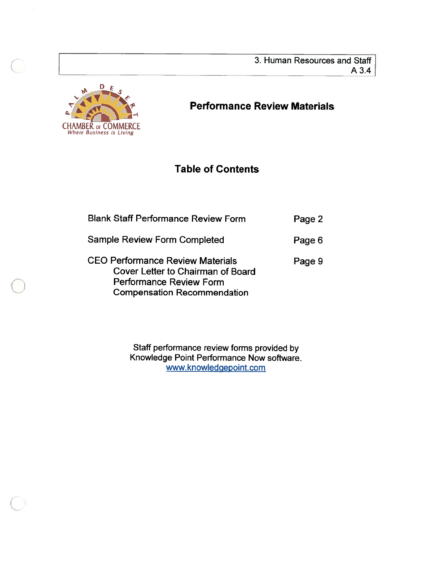3. Human Resources and Staff A3.4



# Performance Review Materials

# Table of Contents

| <b>Blank Staff Performance Review Form</b>                                                                                                           | Page 2 |
|------------------------------------------------------------------------------------------------------------------------------------------------------|--------|
| <b>Sample Review Form Completed</b>                                                                                                                  | Page 6 |
| <b>CEO Performance Review Materials</b><br>Cover Letter to Chairman of Board<br><b>Performance Review Form</b><br><b>Compensation Recommendation</b> | Page 9 |

Staff performance review forms provided by Knowledge Point Performance Now software. www.knowledqepoint.com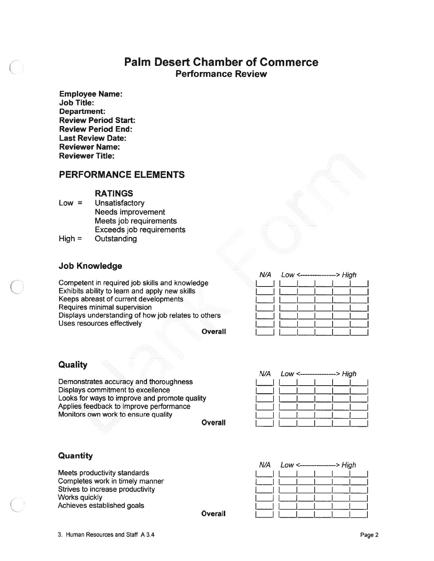# Palm Desert Chamber of Commerce Performance Review

Employee Name: Job Title: Department: Review Period Start: Review Period End: Last Review Date: Reviewer Name: Reviewer Title:

# PERFORMANCE ELEMENTS

### RATINGS

Low <sup>=</sup> Unsatisfactory Needs improvement Meets job requirements Exceeds job requirements

High <sup>=</sup> Outstanding

# Job Knowledge

Competent in required job skills and knowledge Exhibits ability to learn and apply new skills Keeps abreast of current developments Requires minimal supervision Displays understanding of how job relates to others Uses resources effectively

**Overall** 

# **Quality**

Demonstrates accuracy and thoroughness Displays commitment to excellence Looks for ways to improve and promote quality Applies feedback to improve performance Monitors own work to ensure quality

**Overall** 

**Overall** 

| N/A    Low <---------------> High |  |  |  |  |  |
|-----------------------------------|--|--|--|--|--|
|                                   |  |  |  |  |  |
|                                   |  |  |  |  |  |
|                                   |  |  |  |  |  |
|                                   |  |  |  |  |  |
|                                   |  |  |  |  |  |
|                                   |  |  |  |  |  |

| <b>Quantity</b> |  |
|-----------------|--|
|-----------------|--|

Meets productivity standards Completes work in timely manner Strives to increase productivity Works quickly Achieves established goals

| N/A    Low <---------------> High |  |  |  |  |
|-----------------------------------|--|--|--|--|
|                                   |  |  |  |  |
|                                   |  |  |  |  |
|                                   |  |  |  |  |
|                                   |  |  |  |  |
|                                   |  |  |  |  |
|                                   |  |  |  |  |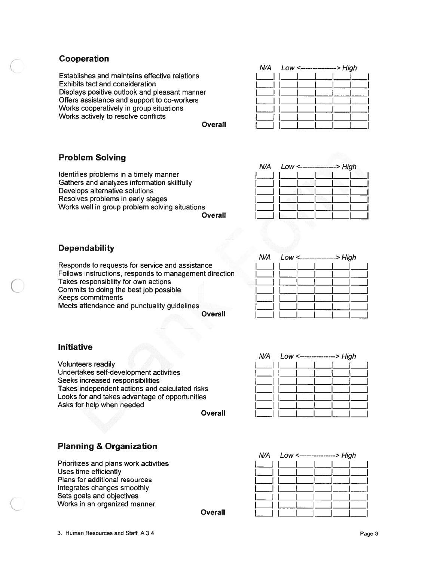# Cooperation

Establishes and maintains effective relations Exhibits tact and consideration Displays positive outlook and pleasant manner Offers assistance and suppor<sup>t</sup> to co-workers Works cooperatively in group situations Works actively to resolve conflicts

### **Overall**

| N/A    Low <--------------> High |  |  |  |  |  |
|----------------------------------|--|--|--|--|--|
|                                  |  |  |  |  |  |
|                                  |  |  |  |  |  |
|                                  |  |  |  |  |  |
|                                  |  |  |  |  |  |
|                                  |  |  |  |  |  |
|                                  |  |  |  |  |  |
|                                  |  |  |  |  |  |

N/A Low <---------------> High

# Problem Solving

Identifies problems in <sup>a</sup> timely manner Gathers and analyzes information skillfully Develops alternative solutions Resolves problems in early stages Works well in group problem solving situations

**Overall** 

# **Dependability**

Responds to requests for service and assistance Follows instructions, responds to managemen<sup>t</sup> direction Takes responsibility for own actions Commits to doing the best job possible Keeps commitments Meets attendance and punctuality guidelines

**Overall** 

|  | N/A    LOW <---------------> High |  |  |  |  |
|--|-----------------------------------|--|--|--|--|
|  |                                   |  |  |  |  |
|  |                                   |  |  |  |  |
|  |                                   |  |  |  |  |
|  |                                   |  |  |  |  |
|  |                                   |  |  |  |  |
|  |                                   |  |  |  |  |
|  |                                   |  |  |  |  |

# Initiative

Volunteers readily Undertakes self-development activities Seeks increased responsibilities Takes independent actions and calculated risks Looks for and takes advantage of opportunities Asks for help when needed

**Overall** 

**Overall** 

| N/A    LOW <---------------> High |  |  |  |  |  |
|-----------------------------------|--|--|--|--|--|
|                                   |  |  |  |  |  |
|                                   |  |  |  |  |  |
|                                   |  |  |  |  |  |
|                                   |  |  |  |  |  |
|                                   |  |  |  |  |  |
|                                   |  |  |  |  |  |
|                                   |  |  |  |  |  |

# Planning & Organization

Prioritizes and plans work activities Uses time efficiently Plans for additional resources Integrates changes smoothly Sets goals and objectives Works in an organized manner

| N/A | Low <---------------> High |  |  |  |  |  |
|-----|----------------------------|--|--|--|--|--|
|     |                            |  |  |  |  |  |
|     |                            |  |  |  |  |  |
|     |                            |  |  |  |  |  |
|     |                            |  |  |  |  |  |
|     |                            |  |  |  |  |  |
|     |                            |  |  |  |  |  |
|     |                            |  |  |  |  |  |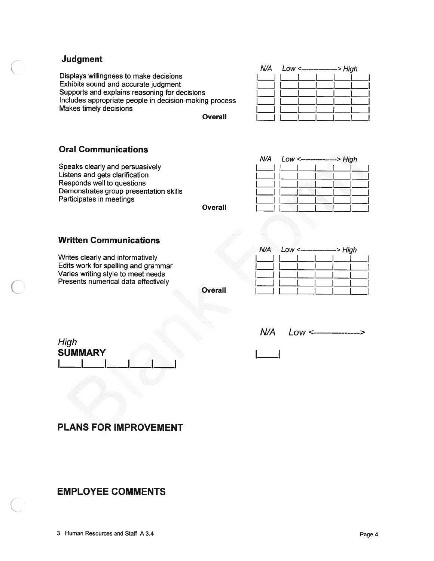# Judgment

Displays willingness to make decisions Exhibits sound and accurate judgment Supports and explains reasoning for decisions Includes appropriate people in decision-making process Makes timely decisions

**Overall** 

| N/A    Low <---------------> High |  |  |  |  |  |
|-----------------------------------|--|--|--|--|--|
|                                   |  |  |  |  |  |
|                                   |  |  |  |  |  |
|                                   |  |  |  |  |  |
|                                   |  |  |  |  |  |
|                                   |  |  |  |  |  |
|                                   |  |  |  |  |  |

# Oral Communications

Speaks clearly and persuasively Listens and gets clarification Responds well to questions Demonstrates group presentation skills Participates in meetings

|         | N/A    Low <---------------> High |  |  |  |
|---------|-----------------------------------|--|--|--|
|         |                                   |  |  |  |
|         |                                   |  |  |  |
|         |                                   |  |  |  |
| Overall |                                   |  |  |  |

# Written Communications

Writes clearly and informatively Edits work for spelling and grammar Varies writing style to meet needs Presents numerical data effectively

**Overall** 

|  | N/A    Low <-------------->    High |  |  |
|--|-------------------------------------|--|--|
|  |                                     |  |  |
|  |                                     |  |  |
|  |                                     |  |  |
|  |                                     |  |  |
|  |                                     |  |  |

| High           |  |  |
|----------------|--|--|
| <b>SUMMARY</b> |  |  |
|                |  |  |

| N/A | LOW <-----------------> |
|-----|-------------------------|
|-----|-------------------------|

I I

# PLANS FOR IMPROVEMENT

# EMPLOYEE COMMENTS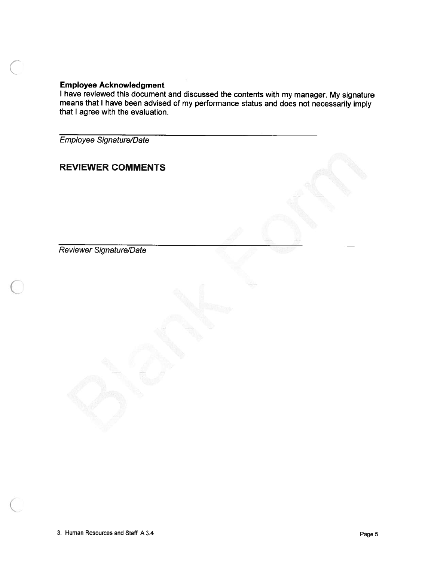## Employee Acknowledgment

<sup>I</sup> have reviewed this document and discussed the contents with my manager. My signature means that <sup>I</sup> have been advised of my performance status and does not necessarily imply that I agree with the evaluation.

Employee Signature/Date

# REVIEWER COMMENTS

Reviewer Signature/Date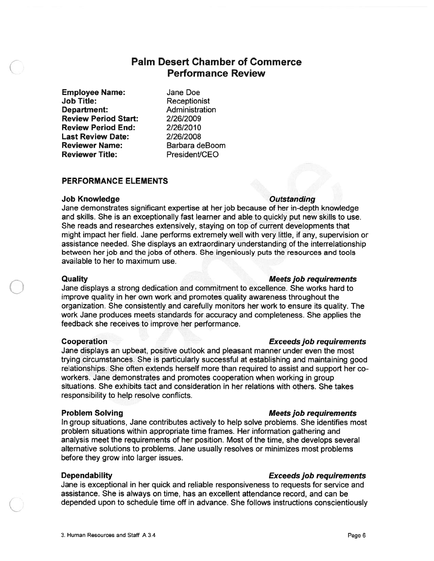# Palm Desert Chamber of Commerce Performance Review

Employee Name: Jane Doe Job Title: Receptionist **Department:** Administration Review Period Start: 2/26/2009 Review Period End: 2/26/2010 Last Review Date: 2/26/2008 Reviewer Name: Barbara deBoom Reviewer Title: President/CEO

### PERFORMANCE ELEMENTS

### Job Knowledge **Outstanding**

Jane demonstrates significant expertise at her job because of her in-depth knowledge and skills. She is an exceptionally fast learner and able to quickly pu<sup>t</sup> new skills to use. She reads and researches extensively, staying on top of current developments that might impact her field. Jane performs extremely well with very little, if any, supervision or assistance needed. She displays an extraordinary understanding of the interrelationship between her job and the jobs of others. She ingeniously puts the resources and tools available to her to maximum use.

## Quality Meetsjob requirements

Jane displays <sup>a</sup> strong dedication and commitment to excellence. She works hard to improve quality in her own work and promotes quality awareness throughout the organization. She consistently and carefully monitors her work to ensure its quality. The work Jane produces meets standards for accuracy and completeness. She applies the feedback she receives to improve her performance.

### Cooperation Exceedsjob requirements

Jane displays an upbeat, positive outlook and pleasant manner under even the most trying circumstances. She is particularly successful at establishing and maintaining good relationships. She often extends herself more than required to assist and suppor<sup>t</sup> her co workers. Jane demonstrates and promotes cooperation when working in group situations. She exhibits tact and consideration in her relations with others. She takes responsibility to help resolve conflicts.

### **Problem Solving The Contract of Contract Contract Contract Contract Contract Contract Contract Contract Contract Contract Contract Contract Contract Contract Contract Contract Contract Contract Contract Contract Contract**

In group situations, Jane contributes actively to help solve problems. She identifies most problem situations within appropriate time frames. Her information gathering and analysis meet the requirements of her position. Most of the time, she develops several alternative solutions to problems. Jane usually resolves or minimizes most problems before they grow into larger issues.

### Dependability **Exceeds** job requirements

Jane is exceptional in her quick and reliable responsiveness to requests for service and assistance. She is always on time, has an excellent attendance record, and can be depended upon to schedule time off in advance. She follows instructions conscientiously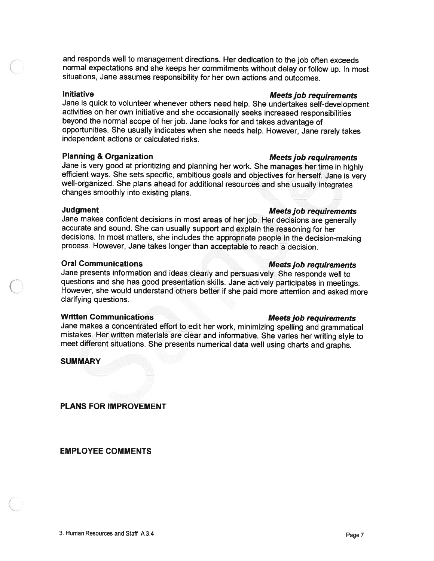and responds well to management directions. Her dedication to the job often exceeds<br>normal expectations and she keeps her commitments without delay or follow up. In most situations, Jane assumes responsibility for her own actions and outcomes.

Initiative<br>Jane is quick to volunteer whenever others need help. She undertakes self-development activities on her own initiative and she occasionally seeks increased responsibilities beyond the normal scope of her job. Jane looks for and takes advantage of opportunities. She usually indicates when she needs help. However, Jane rarely takes independent actions or calculated risks.

Planning & Organization<br>Jane is very good at prioritizing and planning her work. She manages her time in highly efficient ways. She sets specific, ambitious goals and objectives for herself. Jane is very well-organized. She plans ahead for additional resources and she usually integrates changes smoothly into existing plans.

### Judgment **Meets** job requirements

Jane makes confident decisions in most areas of her job. Her decisions are generally accurate and sound. She can usually support and explain the reasoning for her decisions. In most matters, she includes the appropriate people in the decision-making process. However, Jane takes longer than acceptábië to reach <sup>a</sup> decision.

# Oral Communications and the Meets job requirements

Jane presents information and ideas clearly and persuasively. She responds well to questions and she has good presentation skills. Jane actively participates in meetings. However, she would understand others better if she paid more attention and asked more clarifying questions.

Written Communications<br>Jane makes a concentrated effort to edit her work, minimizing spelling and grammatical mistakes. Her written materials are clear and informative. She varies her writing style to meet different situations. She presents numerical data well using charts and graphs.

### SUMMARY

PLANS FOR IMPROVEMENT

EMPLOYEE COMMENTS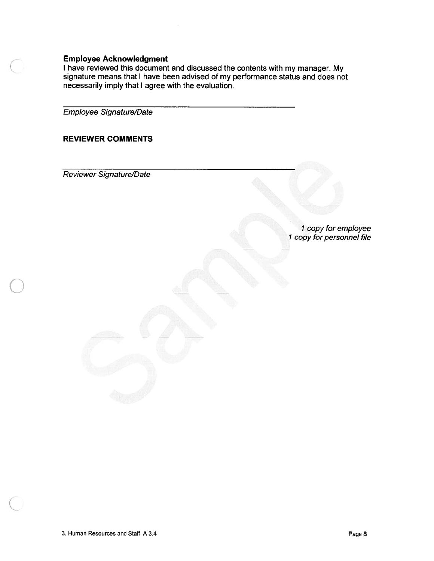## Employee Acknowledgment

<sup>I</sup> have reviewed this document and discussed the contents with my manager. My signature means that I have been advised of my performance status and does not necessarily imply that I agree with the evaluation.

Employee Signature/Date

# REVIEWER COMMENTS

Reviewer Signature/Date

I copy for employee 1 copy for personnel file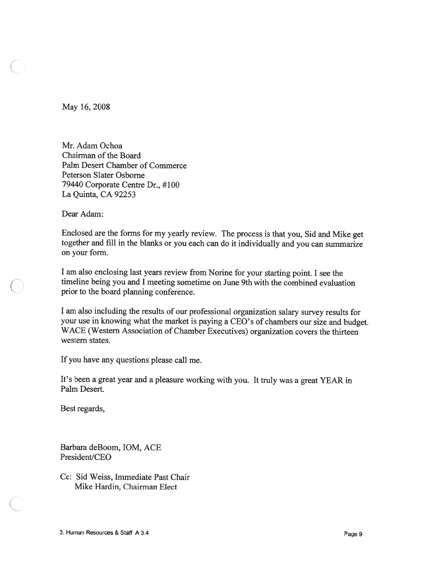May 16, 2008

Mr. Adam Ochoa Chairman of the Board Palm Desert Chamber of Commerce Peterson Slater Osborne 79440 Corporate Centre Dr., #100 La Quinta, CA 92253

Dear Adam:

Enclosed are the forms for my yearly review. The process is that you, Sid and Mike ge<sup>t</sup> together and fill in the blanks or you each can do it individually and you can summarize on your form.

<sup>I</sup> am also enclosing last years review from Norine for your starting point. <sup>I</sup> see the timeline being you and <sup>I</sup> meeting sometime on June 9th with the combined evaluation prior to the board planning conference.

<sup>I</sup> am also including the results of our professional organization salary survey results for your use in knowing what the market is paying <sup>a</sup> CEO's of chambers our size and budget. WACE (Western Association of Chamber Executives) organization covers the thirteen western states.

If you have any questions please call me.

It's been <sup>a</sup> grea<sup>t</sup> year and <sup>a</sup> <sup>p</sup>leasure working with you. It truly was <sup>a</sup> grea<sup>t</sup> YEAR in Palm Desert.

Best regards,

Barbara deBoom, IOM, ACE President/CEO

Cc: Sid Weiss, Immediate Past Chair Mike Hardin, Chairman Elect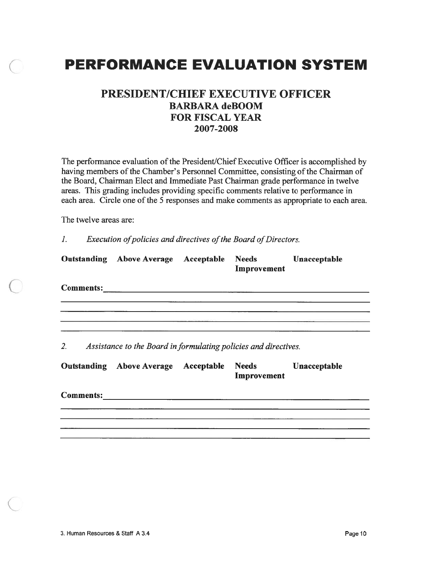# PERFORMANCE EVALUATION SYSTEM

# PRESIDENT/CHIEF EXECUTIVE OFFICER BARBARA deBOOM FOR FISCAL YEAR 2007-2008

The performance evaluation of the President/Chief Executive Officer is accomplished by having members of the Chamber's Personnel Committee, consisting of the Chairman of the Board, Chairman Elect and Immediate Past Chairman grade performance in twelve areas. This grading includes providing specific comments relative to performance in each area. Circle one of the 5 responses and make comments as appropriate to each area.

The twelve areas are:

1. Execution of policies and directives of the Board of Directors.

|                  | <b>Outstanding Above Average</b>                                | Acceptable | <b>Needs</b><br>Improvement | Unacceptable |
|------------------|-----------------------------------------------------------------|------------|-----------------------------|--------------|
|                  | Comments: <u>comments:</u>                                      |            |                             |              |
| 2.               | Assistance to the Board in formulating policies and directives. |            |                             |              |
|                  | <b>Outstanding Above Average</b>                                | Acceptable | <b>Needs</b><br>Improvement | Unacceptable |
| <b>Comments:</b> |                                                                 |            |                             |              |
|                  |                                                                 |            |                             |              |
|                  |                                                                 |            |                             |              |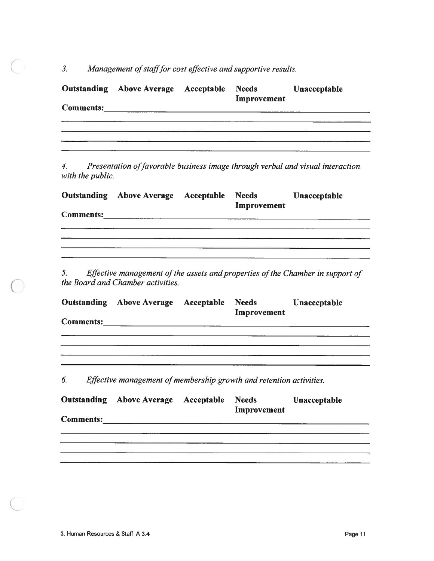3. Management of staff for cost effective and supportive results.

|                  | Outstanding Above Average Acceptable Needs Unacceptable             | Improvement |                                                                                   |
|------------------|---------------------------------------------------------------------|-------------|-----------------------------------------------------------------------------------|
|                  |                                                                     |             |                                                                                   |
|                  |                                                                     |             |                                                                                   |
|                  |                                                                     |             |                                                                                   |
|                  |                                                                     |             |                                                                                   |
| with the public. |                                                                     |             | 4. Presentation of favorable business image through verbal and visual interaction |
|                  | Outstanding Above Average Acceptable Needs Unacceptable             |             |                                                                                   |
|                  |                                                                     | Improvement |                                                                                   |
|                  |                                                                     |             |                                                                                   |
|                  |                                                                     |             |                                                                                   |
|                  |                                                                     |             |                                                                                   |
|                  | the Board and Chamber activities.                                   |             | 5. Effective management of the assets and properties of the Chamber in support of |
|                  | Outstanding Above Average Acceptable Needs Unacceptable             | Improvement |                                                                                   |
|                  |                                                                     |             |                                                                                   |
|                  |                                                                     |             | <u> 1980 - John Barnett, fransk politiker (d. 1980)</u>                           |
|                  |                                                                     |             |                                                                                   |
|                  |                                                                     |             |                                                                                   |
| 6.               | Effective management of membership growth and retention activities. |             |                                                                                   |
|                  | Outstanding Above Average Acceptable Needs Unacceptable             | Improvement |                                                                                   |
| <b>Comments:</b> |                                                                     |             |                                                                                   |
|                  |                                                                     |             |                                                                                   |
|                  |                                                                     |             |                                                                                   |
|                  |                                                                     |             |                                                                                   |
|                  |                                                                     |             |                                                                                   |
|                  |                                                                     |             |                                                                                   |

 $\bigcirc$ 

0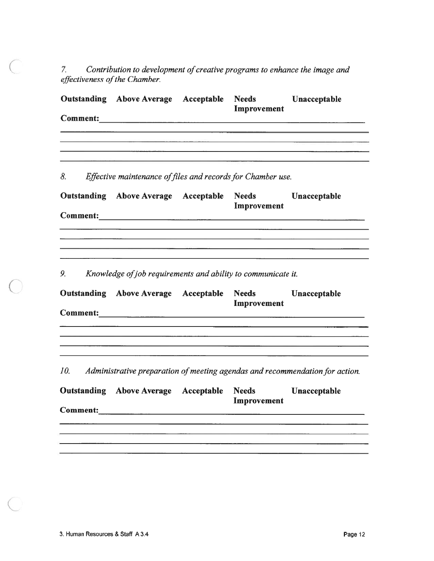7. Contribution to development of creative programs to enhance the image and effectiveness of the Chamber.

|     | <b>Outstanding Above Average Acceptable</b>                  | <b>Needs</b><br>Improvement | Unacceptable                                                                 |
|-----|--------------------------------------------------------------|-----------------------------|------------------------------------------------------------------------------|
|     |                                                              |                             |                                                                              |
|     |                                                              |                             |                                                                              |
|     |                                                              |                             |                                                                              |
| 8.  | Effective maintenance of files and records for Chamber use.  |                             |                                                                              |
|     | <b>Outstanding Above Average Acceptable</b>                  | <b>Needs</b>                | Unacceptable                                                                 |
|     |                                                              | Improvement                 |                                                                              |
|     |                                                              |                             |                                                                              |
|     |                                                              |                             |                                                                              |
|     |                                                              |                             |                                                                              |
| 9.  | Knowledge of job requirements and ability to communicate it. |                             |                                                                              |
|     | <b>Outstanding Above Average Acceptable</b>                  | <b>Needs</b>                | Unacceptable                                                                 |
|     |                                                              | Improvement                 |                                                                              |
|     |                                                              |                             |                                                                              |
|     |                                                              |                             |                                                                              |
|     |                                                              |                             |                                                                              |
| 10. |                                                              |                             | Administrative preparation of meeting agendas and recommendation for action. |
|     | <b>Outstanding Above Average Acceptable</b>                  | <b>Needs</b>                | Unacceptable                                                                 |
|     |                                                              | Improvement                 |                                                                              |
|     |                                                              |                             |                                                                              |
|     |                                                              |                             |                                                                              |
|     |                                                              |                             |                                                                              |
|     |                                                              |                             |                                                                              |

C

 $\left( \quad \right)$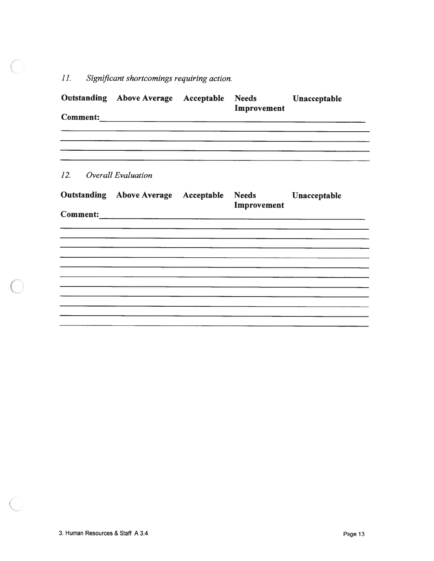# 11. Significant shortcomings requiring action.

|                        | <b>Outstanding Above Average Acceptable Needs</b> | Improvement | Unacceptable |
|------------------------|---------------------------------------------------|-------------|--------------|
|                        |                                                   |             |              |
| 12. Overall Evaluation |                                                   |             |              |
|                        | <b>Outstanding Above Average Acceptable Needs</b> | Improvement | Unacceptable |
|                        |                                                   |             |              |
|                        |                                                   |             |              |
|                        |                                                   |             |              |
|                        |                                                   |             |              |

 $\left($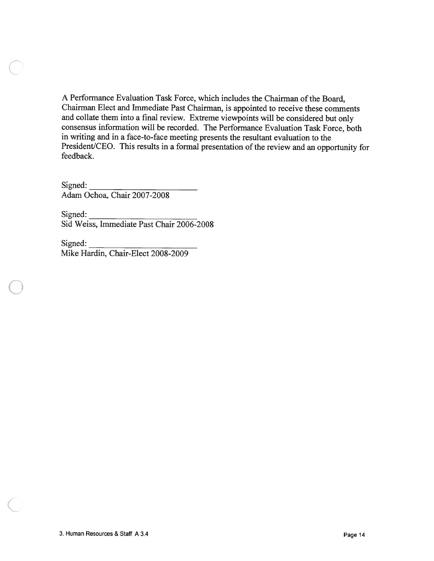A Performance Evaluation Task Force, which includes the Chairman of the Board, Chairman Elect and Immediate Past Chairman, is appointed to receive these comments and collate them into <sup>a</sup> final review. Extreme viewpoints will be considered but only consensus information will be recorded. The Performance Evaluation Task Force, both in writing and in <sup>a</sup> face-to-face meeting presents the resultant evaluation to the President/CEO. This results in a formal presentation of the review and an opportunity for feedback. A Performance Evaluation Task Force, which<br>Chairman Elect and Immediate Past Chairm<br>and collate them into a final review. Extrem<br>consensus information will be recorded. The<br>in writing and in a face-to-face meeting pres<br>Pre A Performance Evaluation Task Force,<br>Chairman Elect and Immediate Past Ch<br>and collate them into a final review. Ex<br>consensus information will be recorded<br>in writing and in a face-to-face meeting<br>President/CEO. This results

Signed: Adam Ochoa, Chair 2007-2008

Signed:<br>Sid Weiss, Immediate Past Chair 2006-2008

Signed: